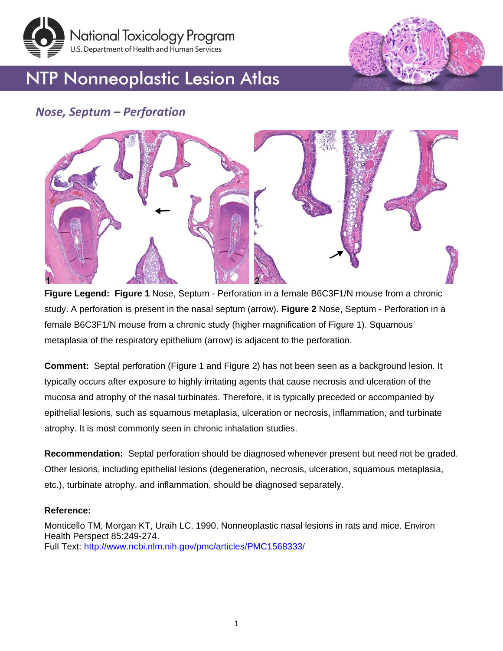

# **NTP Nonneoplastic Lesion Atlas**

## *Nose, Septum – Perforation*



**Figure Legend: Figure 1** Nose, Septum - Perforation in a female B6C3F1/N mouse from a chronic study. A perforation is present in the nasal septum (arrow). **Figure 2** Nose, Septum - Perforation in a female B6C3F1/N mouse from a chronic study (higher magnification of Figure 1). Squamous metaplasia of the respiratory epithelium (arrow) is adjacent to the perforation.

**Comment:** Septal perforation (Figure 1 and Figure 2) has not been seen as a background lesion. It typically occurs after exposure to highly irritating agents that cause necrosis and ulceration of the mucosa and atrophy of the nasal turbinates. Therefore, it is typically preceded or accompanied by epithelial lesions, such as squamous metaplasia, ulceration or necrosis, inflammation, and turbinate atrophy. It is most commonly seen in chronic inhalation studies.

**Recommendation:** Septal perforation should be diagnosed whenever present but need not be graded. Other lesions, including epithelial lesions (degeneration, necrosis, ulceration, squamous metaplasia, etc.), turbinate atrophy, and inflammation, should be diagnosed separately.

#### **Reference:**

Monticello TM, Morgan KT, Uraih LC. 1990. Nonneoplastic nasal lesions in rats and mice. Environ Health Perspect 85:249-274. Full Text:<http://www.ncbi.nlm.nih.gov/pmc/articles/PMC1568333/>